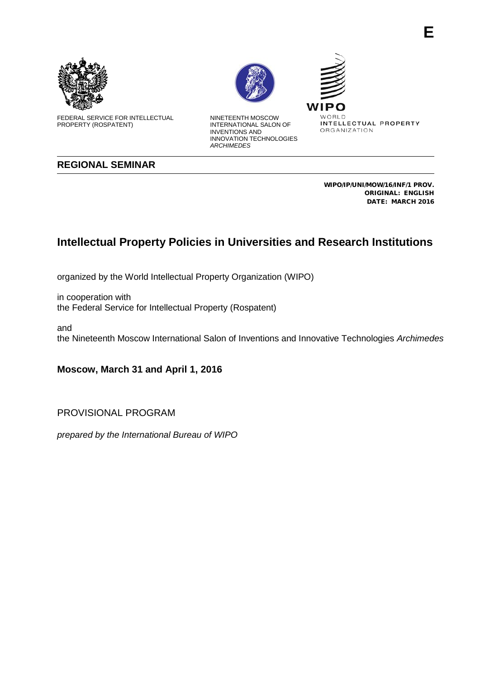

FEDERAL SERVICE FOR INTELLECTUAL PROPERTY (ROSPATENT)



NINETEENTH MOSCOW INTERNATIONAL SALON OF INVENTIONS AND INNOVATION TECHNOLOGIES *ARCHIMEDES*

WIP WORLD INTELLECTUAL PROPERTY ORGANIZATION

**REGIONAL SEMINAR**

WIPO/IP/UNI/MOW/16/INF/1 PROV. ORIGINAL: ENGLISH DATE: MARCH 2016

## **Intellectual Property Policies in Universities and Research Institutions**

organized by the World Intellectual Property Organization (WIPO)

in cooperation with the Federal Service for Intellectual Property (Rospatent)

and the Nineteenth Moscow International Salon of Inventions and Innovative Technologies *Archimedes*

**Moscow, March 31 and April 1, 2016**

PROVISIONAL PROGRAM

*prepared by the International Bureau of WIPO*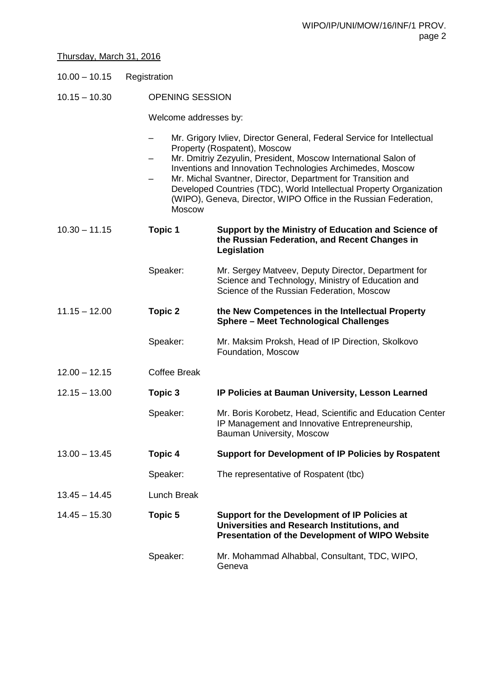## Thursday, March 31, 2016

10.15 – 10.30 OPENING SESSION

Welcome addresses by:

- Mr. Grigory Ivliev, Director General, Federal Service for Intellectual Property (Rospatent), Moscow
- Mr. Dmitriy Zezyulin, President, Moscow International Salon of Inventions and Innovation Technologies Archimedes, Moscow
- Mr. Michal Svantner, Director, Department for Transition and Developed Countries (TDC), World Intellectual Property Organization (WIPO), Geneva, Direсtor, WIPO Office in the Russian Federation, **Moscow**

| $10.30 - 11.15$ | <b>Topic 1</b>      | Support by the Ministry of Education and Science of<br>the Russian Federation, and Recent Changes in<br>Legislation                                    |
|-----------------|---------------------|--------------------------------------------------------------------------------------------------------------------------------------------------------|
|                 | Speaker:            | Mr. Sergey Matveev, Deputy Director, Department for<br>Science and Technology, Ministry of Education and<br>Science of the Russian Federation, Moscow  |
| $11.15 - 12.00$ | <b>Topic 2</b>      | the New Competences in the Intellectual Property<br><b>Sphere - Meet Technological Challenges</b>                                                      |
|                 | Speaker:            | Mr. Maksim Proksh, Head of IP Direction, Skolkovo<br>Foundation, Moscow                                                                                |
| $12.00 - 12.15$ | <b>Coffee Break</b> |                                                                                                                                                        |
| $12.15 - 13.00$ | Topic 3             | IP Policies at Bauman University, Lesson Learned                                                                                                       |
|                 | Speaker:            | Mr. Boris Korobetz, Head, Scientific and Education Center<br>IP Management and Innovative Entrepreneurship,<br>Bauman University, Moscow               |
| $13.00 - 13.45$ | Topic 4             | <b>Support for Development of IP Policies by Rospatent</b>                                                                                             |
|                 | Speaker:            | The representative of Rospatent (tbc)                                                                                                                  |
| $13.45 - 14.45$ | <b>Lunch Break</b>  |                                                                                                                                                        |
| $14.45 - 15.30$ | Topic 5             | Support for the Development of IP Policies at<br>Universities and Research Institutions, and<br><b>Presentation of the Development of WIPO Website</b> |
|                 | Speaker:            | Mr. Mohammad Alhabbal, Consultant, TDC, WIPO,<br>Geneva                                                                                                |